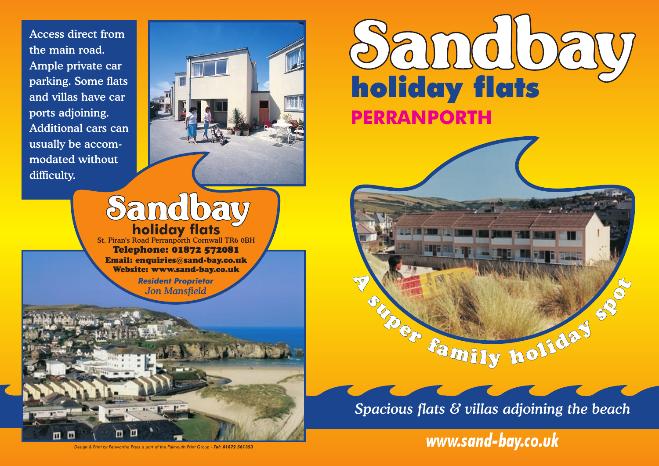Access direct from the main road. Ample private car parking. Some flats and villas have car ports adjoining. Additional cars can usually be accommodated without difficulty.

п



## Sandbay **holiday flats**

St. Piran's Road Perranporth Cornwall TR6 0BH Telephone: 01872 572081 Email: enquiries@sand-bay.co.uk Website: www.sand-bay.co.uk

> *Resident Proprietor Jon Mansfield*





**souper family holiday spotter** 

**A** 

*www.sand-bay.co.uk*

*Design & Print by Penwartha Press a part of the Falmouth Print Group - Tel: 01872 561353*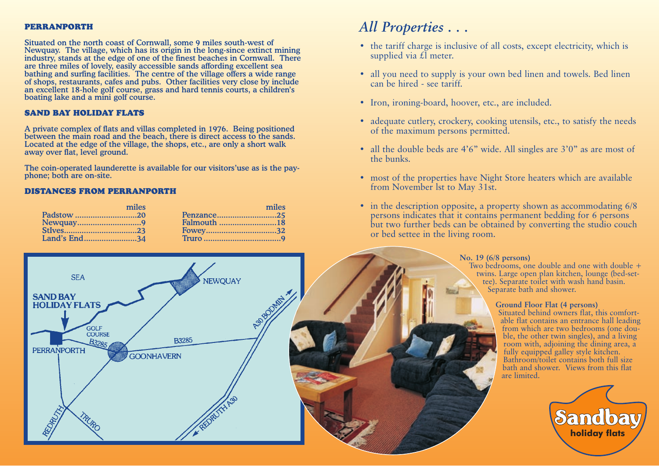#### PERRANPORTH

Situated on the north coast of Cornwall, some 9 miles south-west of Newquay. The village, which has its origin in the long-since extinct mining industry, stands at the edge of one of the finest beaches in Cornwall. There are three miles of lovely, easily accessible sands affording excellent sea bathing and surfing facilities. The centre of the village offers a wide range of shops, restaurants, cafes and pubs. Other facilities very close by include an excellent 18-hole golf course, grass and hard tennis courts, a children's boating lake and a mini golf course.

#### SAND BAY HOLIDAY FLATS

A private complex of flats and villas completed in 1976. Being positioned between the main road and the beach, there is direct access to the sands. Located at the edge of the village, the shops, etc., are only a short walk away over flat, level ground.

The coin-operated launderette is available for our visitors'use as is the payphone; both are on-site.

#### DISTANCES FROM PERRANPORTH

| miles        | miles      |
|--------------|------------|
| Padstow 20   | Penzance25 |
| Newquay9     |            |
|              |            |
| Land's End34 |            |



### *All Properties . . .*

- the tariff charge is inclusive of all costs, except electricity, which is supplied via  $\mathcal{L}$  meter.
- all you need to supply is your own bed linen and towels. Bed linen can be hired - see tariff.
- Iron, ironing-board, hoover, etc., are included.
- adequate cutlery, crockery, cooking utensils, etc., to satisfy the needs of the maximum persons permitted.
- all the double beds are 4'6" wide. All singles are 3'0" as are most of the bunks.
- most of the properties have Night Store heaters which are available from November lst to May 31st.
- in the description opposite, a property shown as accommodating 6/8 persons indicates that it contains permanent bedding for 6 persons but two further beds can be obtained by converting the studio couch or bed settee in the living room.

#### **No. 19 (6/8 persons)**

Two bedrooms, one double and one with double  $+$ twins. Large open plan kitchen, lounge (bed-settee). Separate toilet with wash hand basin. Separate bath and shower.

#### **Ground Floor Flat (4 persons)**

Situated behind owners flat, this comfortable flat contains an entrance hall leading from which are two bedrooms (one double, the other twin singles), and a living room with, adjoining the dining area, a fully equipped galley style kitchen. Bathroom/toilet contains both full size bath and shower. Views from this flat are limited.

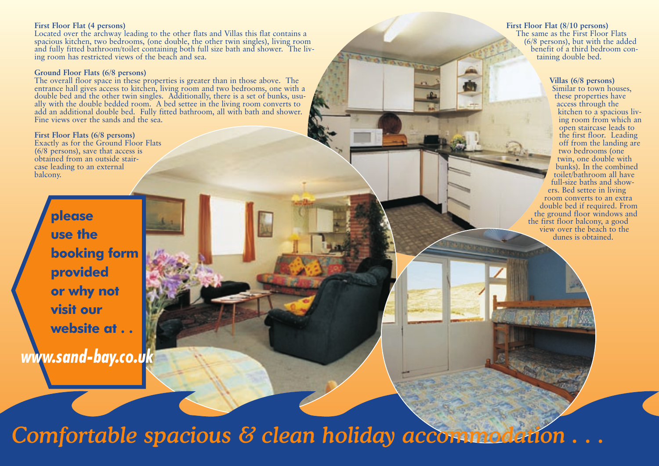#### **First Floor Flat (4 persons)**

Located over the archway leading to the other flats and Villas this flat contains a spacious kitchen, two bedrooms, (one double, the other twin singles), living room and fully fitted bathroom/toilet containing both full size bath and shower. The living room has restricted views of the beach and sea.

#### **Ground Floor Flats (6/8 persons)**

The overall floor space in these properties is greater than in those above. The entrance hall gives access to kitchen, living room and two bedrooms, one with a double bed and the other twin singles. Additionally, there is a set of bunks, usually with the double bedded room. A bed settee in the living room converts to add an additional double bed. Fully fitted bathroom, all with bath and shower. Fine views over the sands and the sea.

**First Floor Flats (6/8 persons)** Exactly as for the Ground Floor Flats (6/8 persons), save that access is obtained from an outside staircase leading to an external balcony.

> **please use the booking form provided or why not visit our website at . .**

*www.sand-bay.co.uk*

**First Floor Flat (8/10 persons)**

The same as the First Floor Flats (6/8 persons), but with the added benefit of a third bedroom containing double bed.

#### **Villas (6/8 persons)**

Similar to town houses, these properties have access through the kitchen to a spacious living room from which an open staircase leads to the first floor. Leading off from the landing are two bedrooms (one twin, one double with bunks). In the combined toilet/bathroom all have full-size baths and showers. Bed settee in living room converts to an extra double bed if required. From the ground floor windows and the first floor balcony, a good view over the beach to the dunes is obtained.

*Comfortable spacious & clean holiday accommodation . . .*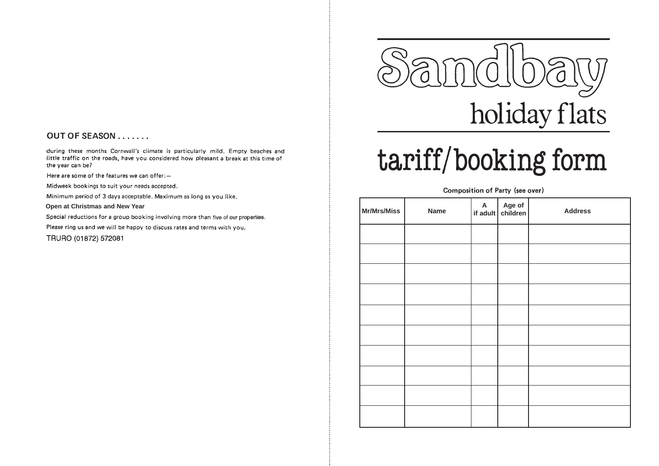#### OUT OF SEASON . . . . . . .

during these months Cornwall's climate is particularly mild. Empty beaches and little traffic on the roads, have you considered how pleasant a break at this time of the year can be?

Here are some of the features we can offer: -

Midweek bookings to suit your needs accepted.

Minimum period of 3 days acceptable. Maximum as long as you like.

#### Open at Christmas and New Year

Special reductions for a group booking involving more than five of our properties.

Please ring us and we will be happy to discuss rates and terms with you.

TRURO (01872) 572081



# tariff/booking form

#### Composition of Party (see over)

| Mr/Mrs/Miss | <b>Name</b> | A Age of<br>if adult children | <b>Address</b> |
|-------------|-------------|-------------------------------|----------------|
|             |             |                               |                |
|             |             |                               |                |
|             |             |                               |                |
|             |             |                               |                |
|             |             |                               |                |
|             |             |                               |                |
|             |             |                               |                |
|             |             |                               |                |
|             |             |                               |                |
|             |             |                               |                |